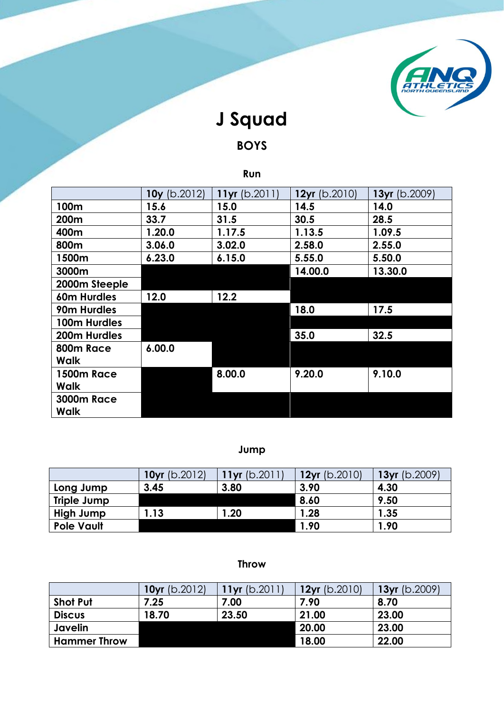

# **J Squad**

# **BOYS**

## **Run**

|                   | $10y$ (b.2012) | 11 $yr$ (b.2011) | $12yr$ (b.2010) | 13yr (b.2009) |
|-------------------|----------------|------------------|-----------------|---------------|
| 100m              | 15.6           | 15.0             | 14.5            | 14.0          |
| 200m              | 33.7           | 31.5             | 30.5            | 28.5          |
| 400m              | 1.20.0         | 1.17.5           | 1.13.5          | 1.09.5        |
| 800m              | 3.06.0         | 3.02.0           | 2.58.0          | 2.55.0        |
| 1500m             | 6.23.0         | 6.15.0           | 5.55.0          | 5.50.0        |
| 3000m             |                |                  | 14.00.0         | 13.30.0       |
| 2000m Steeple     |                |                  |                 |               |
| 60m Hurdles       | 12.0           | 12.2             |                 |               |
| 90m Hurdles       |                |                  | 18.0            | 17.5          |
| 100m Hurdles      |                |                  |                 |               |
| 200m Hurdles      |                |                  | 35.0            | 32.5          |
| 800m Race         | 6.00.0         |                  |                 |               |
| Walk              |                |                  |                 |               |
| <b>1500m Race</b> |                | 8.00.0           | 9.20.0          | 9.10.0        |
| Walk              |                |                  |                 |               |
| <b>3000m Race</b> |                |                  |                 |               |
| Walk              |                |                  |                 |               |

## **Jump**

|                    | $10yr$ (b.2012) | 11 $yr$ (b.2011) | $12yr$ (b.2010) | $13yr$ (b.2009) |
|--------------------|-----------------|------------------|-----------------|-----------------|
| Long Jump          | 3.45            | 3.80             | 3.90            | 4.30            |
| <b>Triple Jump</b> |                 |                  | 8.60            | 9.50            |
| High Jump          | .13             | $\overline{20}$  | 1.28            | 1.35            |
| <b>Pole Vault</b>  |                 |                  | 1.90            | l.90            |

#### **Throw**

|                     | <b>10yr</b> $(b.2012)$ | 11 $yr$ (b.2011) | $12yr$ (b.2010) | 13yr $(b.2009)$ |
|---------------------|------------------------|------------------|-----------------|-----------------|
| <b>Shot Put</b>     | 7.25                   | 7.00             | 7.90            | 8.70            |
| <b>Discus</b>       | 18.70                  | 23.50            | 21.00           | 23.00           |
| Javelin             |                        |                  | 20.00           | 23.00           |
| <b>Hammer Throw</b> |                        |                  | 18.00           | 22.00           |